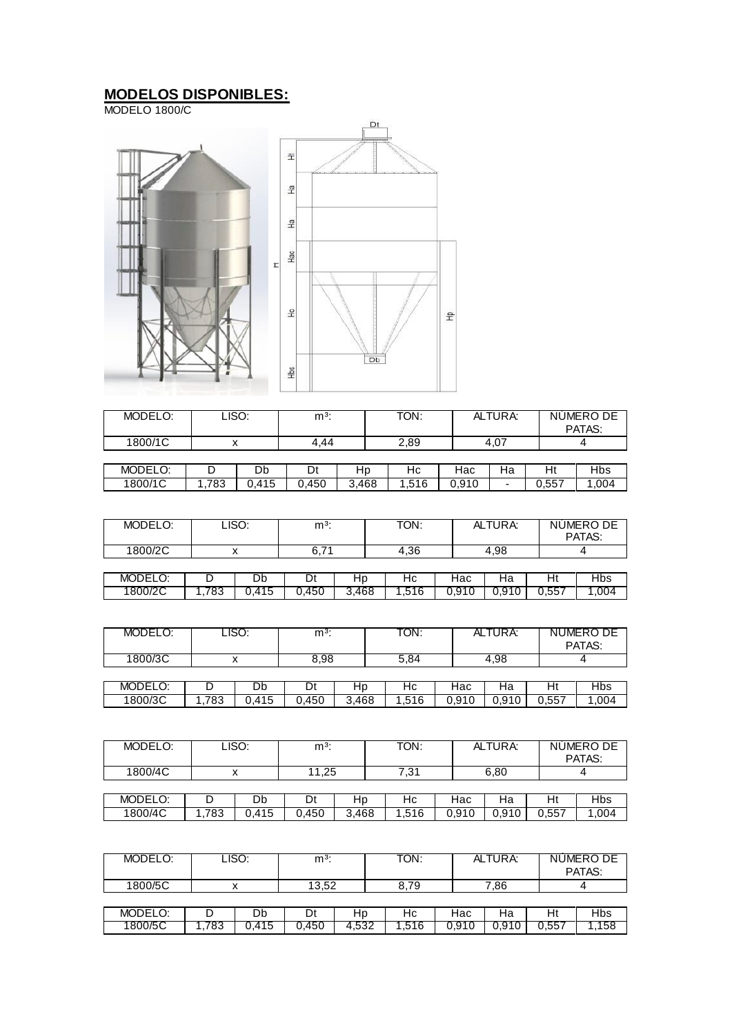## **MODELOS DISPONIBLES:**

MODELO 1800/C



| MODELO: | LISO: |       | $m3$ : |       | TON:  | ALTURA: |      | NUMERO DE<br>PATAS: |            |
|---------|-------|-------|--------|-------|-------|---------|------|---------------------|------------|
| 1800/1C | ́     |       | 4.44   |       | 2,89  |         | 4.07 |                     |            |
|         |       |       |        |       |       |         |      |                     |            |
| MODELO: |       | Db    | Dt     | Hp    | Нc    | Hac     | Ha   | Ht                  | <b>Hbs</b> |
| 1800/1C | .783  | 0.415 | 0.450  | 3.468 | 1,516 | 0.910   | -    | 0.557               | 1,004      |

| MODELO: |     | LISO: | $m3$ : |       | TON: |       | ALTURA: |       | NUMERO DE<br>PATAS: |
|---------|-----|-------|--------|-------|------|-------|---------|-------|---------------------|
| 1800/2C |     |       | 6.7    |       | 4,36 |       | 4.98    |       |                     |
|         |     |       |        |       |      |       |         |       |                     |
| MODELO: |     | Db    | Dt     | Hp    | Нc   | Hac   | Ha      | Ht    | Hbs                 |
| 1800/2C | 783 | 0.415 | 0.450  | 3.468 | .516 | 0.910 | 0.910   | 0,557 | .004                |

| MODELO: |      | LISO: | $m3$ : |       | TON:  |       | ALTURA: | NUMERO DE<br>PATAS: |      |
|---------|------|-------|--------|-------|-------|-------|---------|---------------------|------|
| 1800/3C |      |       | 8,98   |       | 5,84  |       | 4,98    |                     |      |
|         |      |       |        |       |       |       |         |                     |      |
| MODELO: |      | Db    |        | Нp    | Нc    | Hac   | на      | Ηt                  | Hbs  |
| 1800/3C | .783 | 0.415 | 0.450  | 3.468 | 1,516 | 0.910 | 0,910   | 0.557               | .004 |

| MODELO: |     | LISO: | $m3$ : |       | TON:  |       | ALTURA: |       | NUMERO DE<br>PATAS: |
|---------|-----|-------|--------|-------|-------|-------|---------|-------|---------------------|
| 1800/4C |     |       | 11,25  |       | 7.31  |       | 6,80    |       |                     |
|         |     |       |        |       |       |       |         |       |                     |
| MODELO: |     | Db    | Dt     | Hp    | Нc    | Hac   | Ha      | Ht    | Hbs                 |
| 1800/4C | 783 | 0.415 | 0.450  | 3.468 | 1.516 | 0.910 | 0,910   | 0.557 | 1,004               |

| MODELO: | LISO: |      | m <sup>3</sup> |       | TON: |       | ALTURA: |       | NUMERO DE<br>PATAS: |
|---------|-------|------|----------------|-------|------|-------|---------|-------|---------------------|
| 1800/5C |       |      | 13.52          |       | 8.79 |       | 7,86    |       |                     |
|         |       |      |                |       |      |       |         |       |                     |
| MODELO: |       | Db   | Dt             | Hp    | Нc   | Hac   | Ha      | Ht    | Hbs                 |
| 1800/5C | 783   | .415 | 0.450          | 4,532 | .516 | 0.910 | 0.910   | 0,557 | 158                 |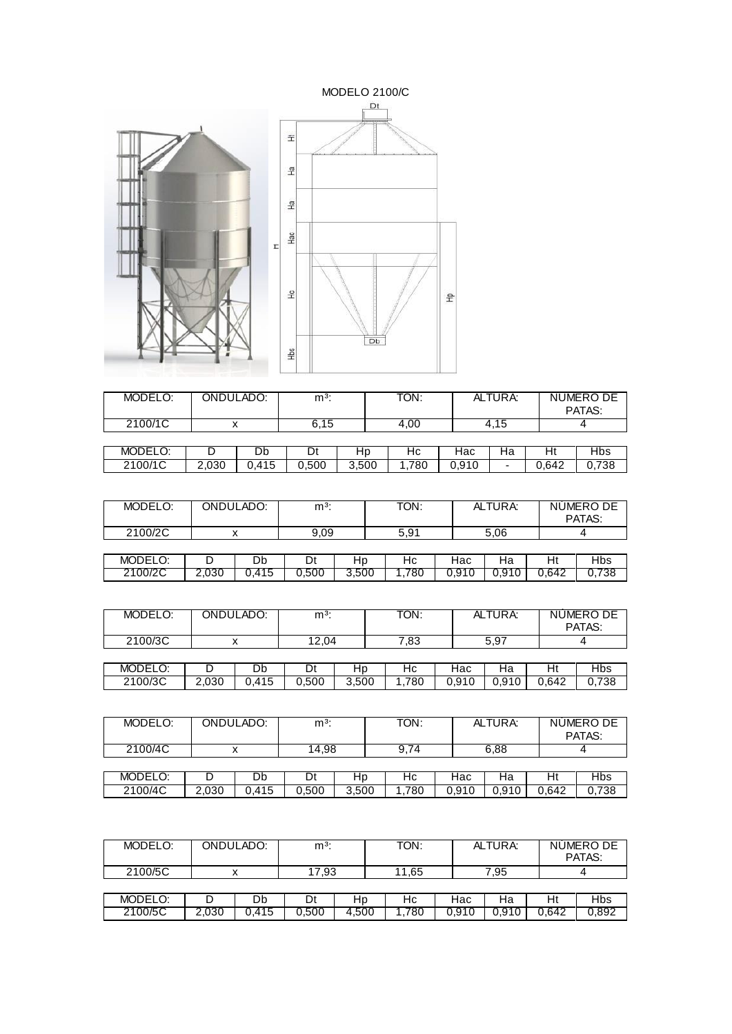

| MODELO: | ONDULADO: |       | $m3$ : |       | TON: |       | ALTURA:                  |    | NUMERO DE<br>PATAS: |
|---------|-----------|-------|--------|-------|------|-------|--------------------------|----|---------------------|
| 2100/1C |           |       | 6.15   |       | 4.00 |       | 4.15                     |    |                     |
|         |           |       |        |       |      |       |                          |    |                     |
| MODELO: |           | Db    |        | нp    | Нc   | Нас   | на                       | Ht | <b>Hbs</b>          |
| 2100/1C | 2.030     | 0.415 | 0.500  | 3.500 | .780 | 0.910 | $\overline{\phantom{0}}$ |    | 0.738               |

| MODELO: |       | ONDULADO: | $m3$ : |       | TON: |       | ALTURA: |       | NUMERO DE<br>PATAS: |
|---------|-------|-----------|--------|-------|------|-------|---------|-------|---------------------|
| 2100/2C |       |           | 9.09   |       | 5,91 |       | 5,06    |       |                     |
|         |       |           |        |       |      |       |         |       |                     |
| MODELO: |       | Db        | Dt     | Hp    | Нc   | Hac   | Ha      | H١    | Hbs                 |
| 2100/2C | 2.030 | 0.415     | 0.500  | 3,500 | ,780 | 0.910 | 0,910   | 0.642 | 0.738               |

| MODELO: |       | ONDULADO: | $m3$ : |       | TON: |       | ALTURA: |       | NUMERO DE<br>PATAS: |
|---------|-------|-----------|--------|-------|------|-------|---------|-------|---------------------|
| 2100/3C |       |           | 12.04  |       | 7,83 |       | 5,97    |       |                     |
|         |       |           |        |       |      |       |         |       |                     |
| MODELO: |       | Db        | Dt     | Hp    | Нc   | Hac   | Ha      | Ht    | Hbs                 |
| 2100/3C | 2,030 | 0.415     | 0.500  | 3,500 | .780 | 0,910 | 0,910   | 0.642 | 0.738               |

| MODELO: |       | ONDULADO: | $m3$ : |       | TON: |       | ALTURA: |       | NUMERO DE<br>PATAS: |
|---------|-------|-----------|--------|-------|------|-------|---------|-------|---------------------|
| 2100/4C |       |           | 14,98  |       | 9,74 |       | 6,88    |       |                     |
|         |       |           |        |       |      |       |         |       |                     |
| MODELO: |       | Db        | Dt     | HD    | Нc   | Hac   | на      | Нt    | <b>Hbs</b>          |
| 2100/4C | 2,030 | J.415     | 0.500  | 3,500 | .780 | 0.910 | 0.910   | 0.642 | 0,738               |

| MODELO: |       | ONDULADO: | $m3$ : |       | TON:  |       | ALTURA: |       | NUMERO DE<br>PATAS: |
|---------|-------|-----------|--------|-------|-------|-------|---------|-------|---------------------|
| 2100/5C |       |           | 17.93  |       | 11.65 |       | 7,95    |       |                     |
|         |       |           |        |       |       |       |         |       |                     |
| MODELO: |       | Db        | Dt     | Hp    | Нc    | Hac   | На      | Ht    | Hbs                 |
| 2100/5C | 2,030 | 0.415     | 0.500  | 4.500 | .780  | 0.910 | 0.910   | 0.642 | 0.892               |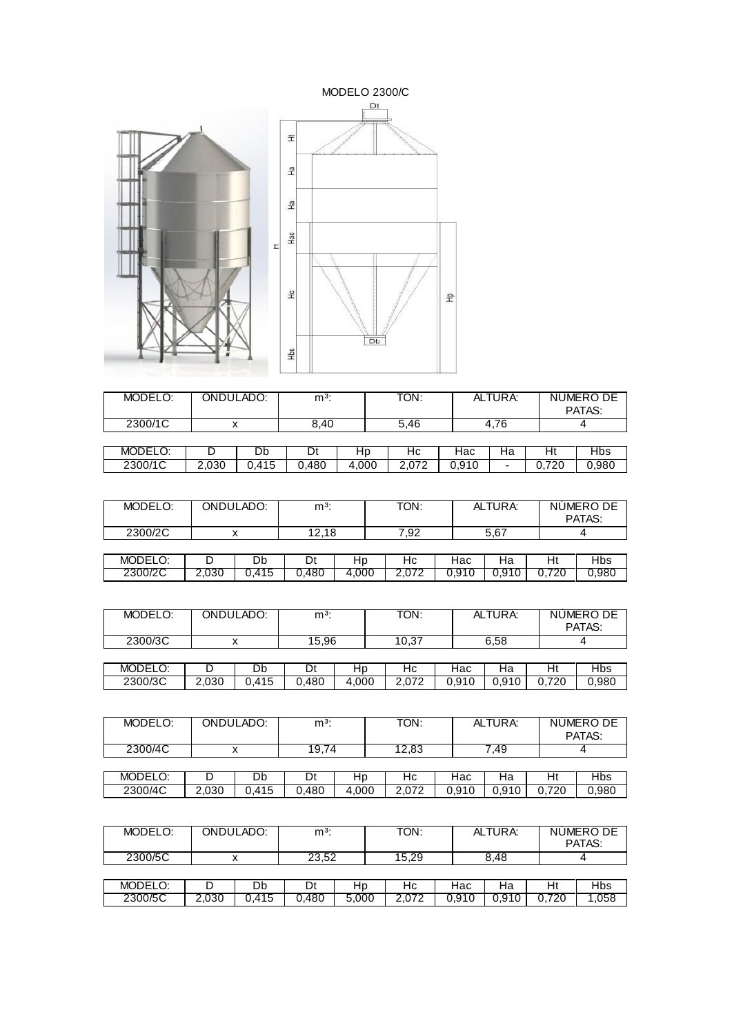

| MODELO: | ONDULADO: |       | $m3$ : |       | TON:  |       | ALTURA:                  |       | NUMERO DE<br>PATAS: |
|---------|-----------|-------|--------|-------|-------|-------|--------------------------|-------|---------------------|
| 2300/1C |           |       | 8.40   |       | 5.46  |       | 4.76                     |       |                     |
|         |           |       |        |       |       |       |                          |       |                     |
| MODELO: |           | Db    |        | нp    | Нc    | Нас   | на                       | Ηt    | <b>Hbs</b>          |
| 2300/1C | 2.030     | 0.415 | 0.480  | 4.000 | 2.072 | 0.910 | $\overline{\phantom{0}}$ | 0.720 | 0.980               |

| MODELO: |       | ONDULADO: | $m3$ : |       | TON:  |       | ALTURA: |       | NUMERO DE<br>PATAS: |
|---------|-------|-----------|--------|-------|-------|-------|---------|-------|---------------------|
| 2300/2C |       |           | 12,18  |       | 7,92  |       | 5,67    |       |                     |
|         |       |           |        |       |       |       |         |       |                     |
| MODELO: |       | Db        | Dt     | Hp    | Hc    | Hac   | Ha      | H١    | Hbs                 |
| 2300/2C | 2.030 | 0.415     | 0.480  | 4.000 | 2.072 | 0.910 | 0,910   | 0.720 | 0.980               |

| MODELO: |       | ONDULADO: | $m3$ : |       | TON:  |       | ALTURA: |       | NUMERO DE<br>PATAS: |
|---------|-------|-----------|--------|-------|-------|-------|---------|-------|---------------------|
| 2300/3C |       |           | 15.96  |       | 10.37 |       | 6.58    |       |                     |
|         |       |           |        |       |       |       |         |       |                     |
| MODELO: |       | Db        | Dt     | Hp    | Нc    | Hac   | Ha      | Ht    | Hbs                 |
| 2300/3C | 2,030 | 0.415     | 0.480  | 4.000 | 2,072 | 0,910 | 0,910   | 0.720 | 0,980               |

| MODELO: | ONDULADO: | $m3$ : | TON:  | ALTURA: | NUMERO DE<br>PATAS: |
|---------|-----------|--------|-------|---------|---------------------|
| 2300/4C |           | 19,74  | 12,83 | .49     |                     |
|         |           |        |       |         |                     |

| 2300/4C<br>0.40<br>.030<br>.480<br>000.<br>980.<br>$\sim$<br>0.40<br>41F<br>700<br>$\Delta$<br>⊾<br>U.Y<br>∠⊾<br>. .<br>ີບ<br>∪.∪<br>ີ<br><u>vi</u><br>- | MODELO: | - | Db | л.<br>◡ | שו | ٦C | lac. | ۹а | Hι | 1bs |
|----------------------------------------------------------------------------------------------------------------------------------------------------------|---------|---|----|---------|----|----|------|----|----|-----|
|                                                                                                                                                          |         |   |    |         |    |    |      |    |    |     |

| MODELO: |       | ONDULADO: | $m3$ : |       | TON:  |       | ALTURA: |       | NUMERO DE<br>PATAS: |
|---------|-------|-----------|--------|-------|-------|-------|---------|-------|---------------------|
| 2300/5C |       |           | 23.52  |       | 15.29 |       | 8.48    |       |                     |
|         |       |           |        |       |       |       |         |       |                     |
| MODELO: |       | Db        | Dt     | Hp    | Нc    | Hac   | На      | Ht    | Hbs                 |
| 2300/5C | 2,030 | 0.415     | 0.480  | 5.000 | 2.072 | 0.910 | 0.910   | 0.720 | 058                 |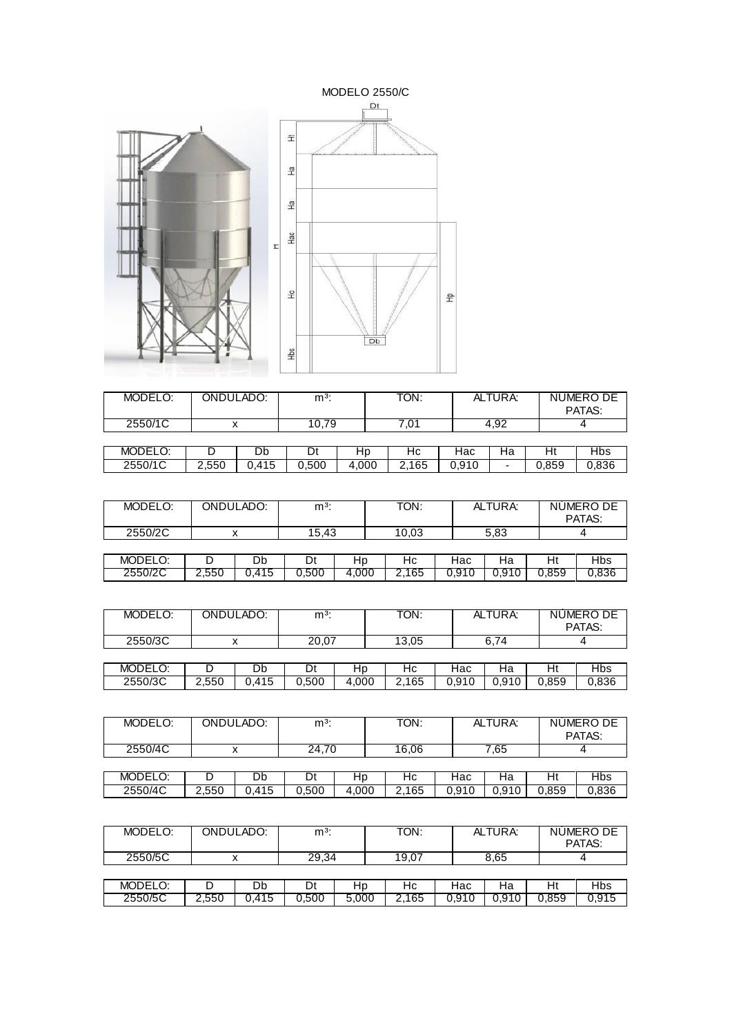

| MODELO: | ONDULADO: |       | $m3$ : |       | TON:  |       | ALTURA: |       | NUMERO DE<br>PATAS: |
|---------|-----------|-------|--------|-------|-------|-------|---------|-------|---------------------|
| 2550/1C |           |       | 10.79  |       | 01.   |       | 4.92    |       |                     |
|         |           |       |        |       |       |       |         |       |                     |
| MODELO: |           | Db    |        | нp    | Нc    | Нас   | Ha      | Ht    | <b>Hbs</b>          |
| 2550/1C | 2.550     | 0.415 | 0.500  | 4.000 | 2,165 | 0.910 | -       | 0.859 | 0,836               |

| MODELO: |       | ONDULADO: | $m3$ : |       | TON:  |       | ALTURA: |       | NUMERO DE<br>PATAS: |
|---------|-------|-----------|--------|-------|-------|-------|---------|-------|---------------------|
| 2550/2C |       |           | 15.43  |       | 10.03 |       | 5,83    |       |                     |
|         |       |           |        |       |       |       |         |       |                     |
| MODELO: |       | Db        | Dt     | Hp    | Нc    | Hac   | Ha      | H١    | Hbs                 |
| 2550/2C | 2,550 | 0.415     | 0.500  | 4.000 | 2,165 | 0.910 | 0,910   | 0.859 | 0,836               |

| MODELO: |       | ONDULADO: | $m^3$ : |       | TON:  |       | ALTURA: |       | NUMERO DE<br>PATAS: |
|---------|-------|-----------|---------|-------|-------|-------|---------|-------|---------------------|
| 2550/3C |       |           | 20,07   |       | 13.05 |       | 6.74    |       |                     |
|         |       |           |         |       |       |       |         |       |                     |
| MODELO: |       | Db        | Dt      | Hp    | Нc    | Hac   | На      | Ht    | Hbs                 |
| 2550/3C | 2,550 | 0.415     | 0.500   | 4.000 | 2,165 | 0,910 | 0,910   | 0,859 | 0,836               |

| MODELO: | ONDULADO: | m <sup>3</sup> : | TON:  | ALTURA: | NUMERO DE<br>PATAS: |
|---------|-----------|------------------|-------|---------|---------------------|
| 2550/4C |           | 24,70            | 16.06 | 7.65    |                     |
|         |           |                  |       |         |                     |

| 2550/4C<br>000,<br>.500<br>$\overline{a}$<br>11F<br>65<br>0.40<br>0.859<br>.550<br>000<br>$\sim$<br>⌒<br>Δ.<br>- - -<br>ч<br>∼<br>v.ə<br>u.oju<br>ט ו<br>∪.∪<br><u>. . </u><br>. . | MODELO: | ◡ | Db | n.<br>◡ | ⊾ר | าเ | ⊣∍∩<br><b>Id</b> u | ⊣а | Ht | ານວ |
|------------------------------------------------------------------------------------------------------------------------------------------------------------------------------------|---------|---|----|---------|----|----|--------------------|----|----|-----|
|                                                                                                                                                                                    |         |   |    |         |    |    |                    |    |    |     |

| MODELO: |       | ONDULADO: | $m3$ : |       | TON:  |       | ALTURA: |       | NUMERO DE<br>PATAS: |
|---------|-------|-----------|--------|-------|-------|-------|---------|-------|---------------------|
| 2550/5C |       |           | 29.34  |       | 19.07 |       | 8.65    |       |                     |
|         |       |           |        |       |       |       |         |       |                     |
| MODELO: |       | Db        | Dt     | Hp    | Нc    | Hac   | Ha      | Ht    | Hbs                 |
| 2550/5C | 2,550 | 0,415     | 0.500  | 5,000 | 2,165 | 0.910 | 0.910   | 0.859 | 0,915               |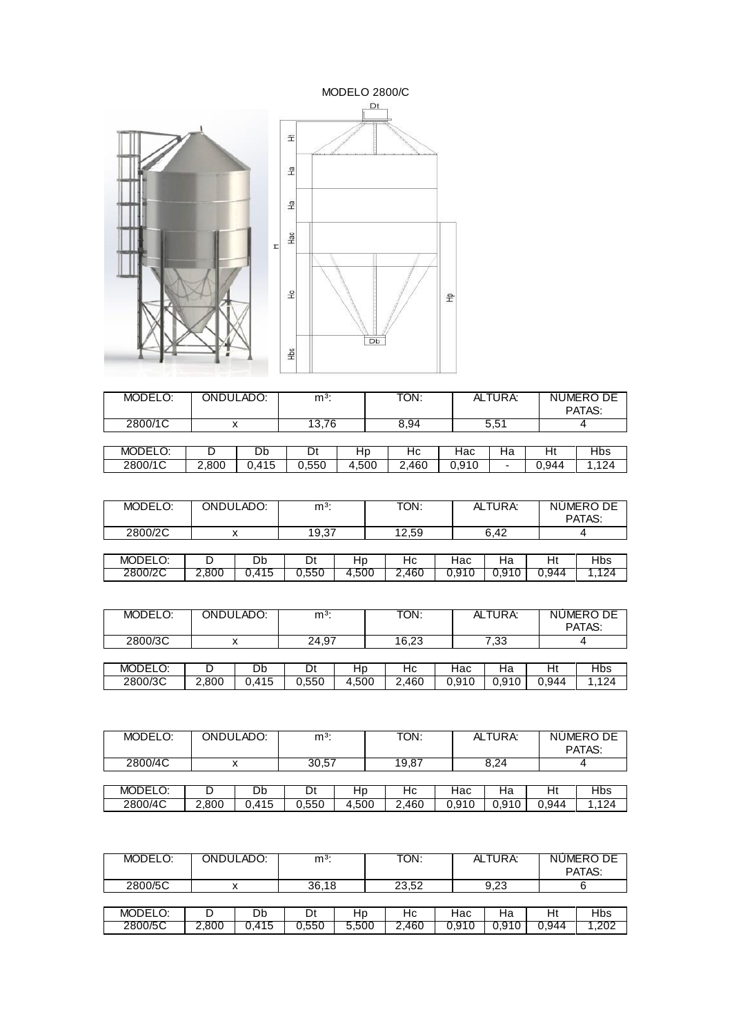

| MODELO: | ONDULADO: |       | $m3$ : |       | TON:  |       | ALTURA:                  |       | NÚMERO DE<br>PATAS: |
|---------|-----------|-------|--------|-------|-------|-------|--------------------------|-------|---------------------|
| 2800/1C |           |       | 13,76  |       | 8,94  |       | 5,51                     |       |                     |
|         |           |       |        |       |       |       |                          |       |                     |
| MODELO: |           | Db    |        | нp    | Нc    | Нас   | на                       | Ht    | <b>Hbs</b>          |
| 2800/1C | 2.800     | 0.415 | 0.550  | 4.500 | 2.460 | 0,910 | $\overline{\phantom{0}}$ | 0.944 | 1.124               |

| MODELO: |       | ONDULADO: | $m3$ : |       | TON:  |       | ALTURA: |       | NUMERO DE<br>PATAS: |
|---------|-------|-----------|--------|-------|-------|-------|---------|-------|---------------------|
| 2800/2C |       |           | 19.37  |       | 12.59 |       | 6.42    |       |                     |
|         |       |           |        |       |       |       |         |       |                     |
| MODELO: |       | Db        | Dt     | Hp    | Нc    | Hac   | Ha      | H١    | Hbs                 |
| 2800/2C | 2.800 | 0.415     | 0.550  | 4.500 | 2,460 | 0.910 | 0.910   | 0.944 | 124                 |

| MODELO: | ONDULADO: |       | m <sup>3</sup> |       | TON:  |       | ALTURA: |       | NUMERO DE<br>PATAS: |  |
|---------|-----------|-------|----------------|-------|-------|-------|---------|-------|---------------------|--|
| 2800/3C |           |       | 24.97          |       | 16,23 |       | 7,33    |       |                     |  |
|         |           |       |                |       |       |       |         |       |                     |  |
| MODELO: |           | Db    | Dt             | Hp    | Hc    | Hac   | Ha      | Ht    | <b>Hbs</b>          |  |
| 2800/3C | 2,800     | 0.415 | 0.550          | 4,500 | 2,460 | 0,910 | 0,910   | 0.944 | 1.124               |  |

| MODELO: | ONDULADO: |       | $m3$ : |       | TON:  |       | ALTURA: |       | NUMERO DE<br>PATAS: |  |
|---------|-----------|-------|--------|-------|-------|-------|---------|-------|---------------------|--|
| 2800/4C |           |       |        | 30,57 |       |       | 8,24    |       |                     |  |
|         |           |       |        |       |       |       |         |       |                     |  |
| MODELO: |           | υb    | υt     | Hp    | Нc    | Hac   | на      | Ht    | <b>Hbs</b>          |  |
| 2800/4C | 2.800     | 0.415 | 0.550  | 4.500 | 2,460 | 0.910 | 0.910   | 0.944 | .124                |  |

| MODELO: | ONDULADO: |       | $m3$ : |       | TON:  |       | ALTURA: |       | NUMERO DE<br>PATAS: |  |
|---------|-----------|-------|--------|-------|-------|-------|---------|-------|---------------------|--|
| 2800/5C |           |       |        | 36,18 | 23,52 |       | 9,23    |       |                     |  |
|         |           |       |        |       |       |       |         |       |                     |  |
| MODELO: |           | Db    | Dt     | HD    | Нc    | Hac   | Ha      | Ht    | Hbs                 |  |
| 2800/5C | 2,800     | 0.415 | 0.550  | 5,500 | 2,460 | 0.910 | 0.910   | 0.944 | .202                |  |